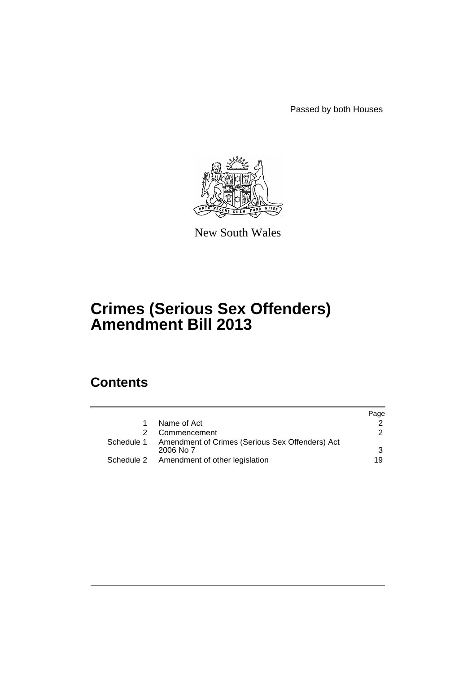Passed by both Houses



New South Wales

# **Crimes (Serious Sex Offenders) Amendment Bill 2013**

# **Contents**

|                                                                         | Page          |
|-------------------------------------------------------------------------|---------------|
| Name of Act                                                             |               |
| Commencement                                                            | $\mathcal{P}$ |
| Schedule 1 Amendment of Crimes (Serious Sex Offenders) Act<br>2006 No 7 | 3             |
| Schedule 2 Amendment of other legislation                               | 19            |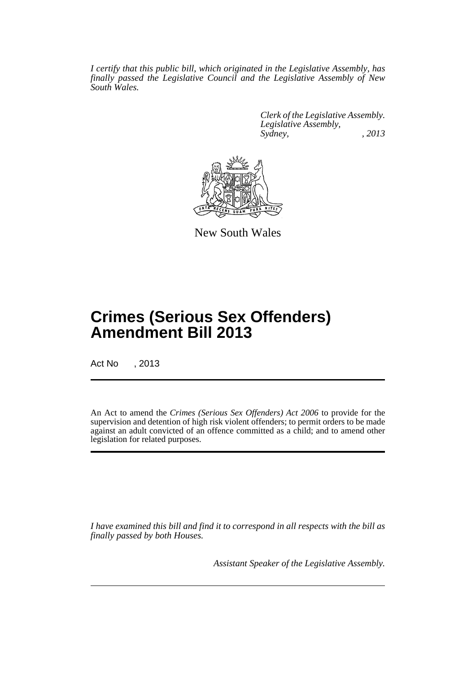*I certify that this public bill, which originated in the Legislative Assembly, has finally passed the Legislative Council and the Legislative Assembly of New South Wales.*

> *Clerk of the Legislative Assembly. Legislative Assembly, Sydney, , 2013*



New South Wales

# **Crimes (Serious Sex Offenders) Amendment Bill 2013**

Act No , 2013

An Act to amend the *Crimes (Serious Sex Offenders) Act 2006* to provide for the supervision and detention of high risk violent offenders; to permit orders to be made against an adult convicted of an offence committed as a child; and to amend other legislation for related purposes.

*I have examined this bill and find it to correspond in all respects with the bill as finally passed by both Houses.*

*Assistant Speaker of the Legislative Assembly.*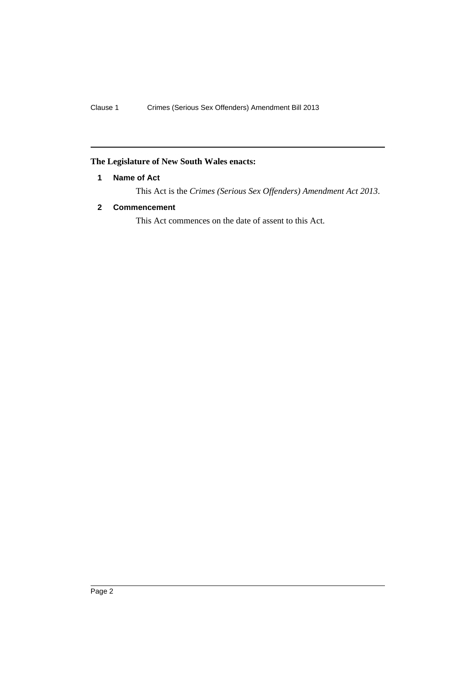# <span id="page-3-0"></span>**The Legislature of New South Wales enacts:**

# **1 Name of Act**

This Act is the *Crimes (Serious Sex Offenders) Amendment Act 2013*.

# <span id="page-3-1"></span>**2 Commencement**

This Act commences on the date of assent to this Act.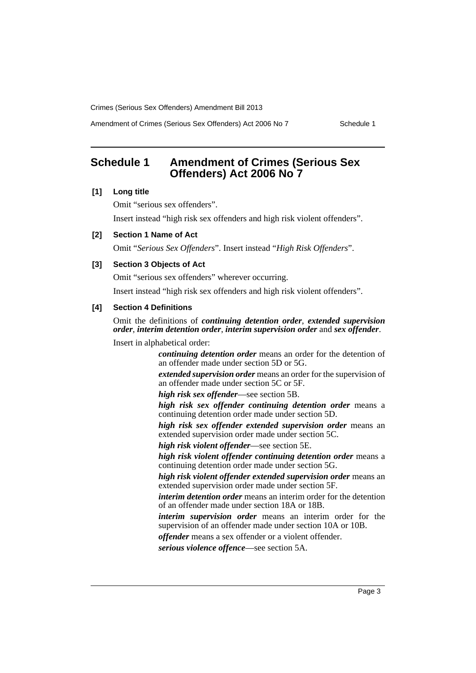Amendment of Crimes (Serious Sex Offenders) Act 2006 No 7 Schedule 1

# <span id="page-4-0"></span>**Schedule 1 Amendment of Crimes (Serious Sex Offenders) Act 2006 No 7**

#### **[1] Long title**

Omit "serious sex offenders". Insert instead "high risk sex offenders and high risk violent offenders".

#### **[2] Section 1 Name of Act**

Omit "*Serious Sex Offenders*". Insert instead "*High Risk Offenders*".

#### **[3] Section 3 Objects of Act**

Omit "serious sex offenders" wherever occurring.

Insert instead "high risk sex offenders and high risk violent offenders".

# **[4] Section 4 Definitions**

Omit the definitions of *continuing detention order*, *extended supervision order*, *interim detention order*, *interim supervision order* and *sex offender*.

Insert in alphabetical order:

*continuing detention order* means an order for the detention of an offender made under section 5D or 5G.

*extended supervision order* means an order for the supervision of an offender made under section 5C or 5F.

*high risk sex offender*—see section 5B.

*high risk sex offender continuing detention order* means a continuing detention order made under section 5D.

*high risk sex offender extended supervision order* means an extended supervision order made under section 5C.

*high risk violent offender*—see section 5E.

*high risk violent offender continuing detention order* means a continuing detention order made under section 5G.

*high risk violent offender extended supervision order* means an extended supervision order made under section 5F.

*interim detention order* means an interim order for the detention of an offender made under section 18A or 18B.

*interim supervision order* means an interim order for the supervision of an offender made under section 10A or 10B.

*offender* means a sex offender or a violent offender.

*serious violence offence*—see section 5A.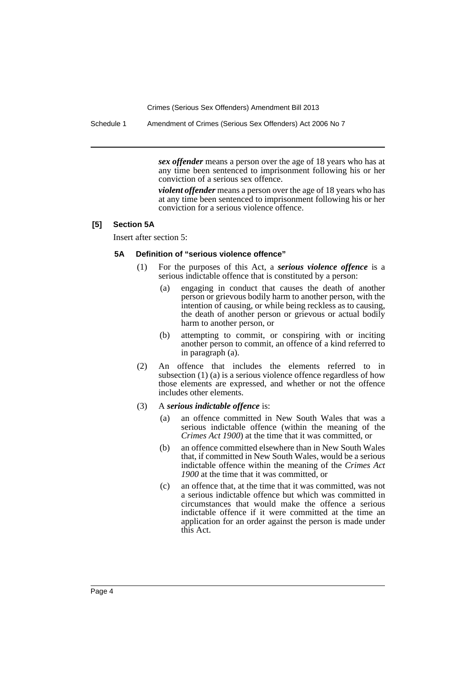Schedule 1 Amendment of Crimes (Serious Sex Offenders) Act 2006 No 7

*sex offender* means a person over the age of 18 years who has at any time been sentenced to imprisonment following his or her conviction of a serious sex offence.

*violent offender* means a person over the age of 18 years who has at any time been sentenced to imprisonment following his or her conviction for a serious violence offence.

#### **[5] Section 5A**

Insert after section 5:

#### **5A Definition of "serious violence offence"**

- (1) For the purposes of this Act, a *serious violence offence* is a serious indictable offence that is constituted by a person:
	- (a) engaging in conduct that causes the death of another person or grievous bodily harm to another person, with the intention of causing, or while being reckless as to causing, the death of another person or grievous or actual bodily harm to another person, or
	- (b) attempting to commit, or conspiring with or inciting another person to commit, an offence of a kind referred to in paragraph (a).
- (2) An offence that includes the elements referred to in subsection (1) (a) is a serious violence offence regardless of how those elements are expressed, and whether or not the offence includes other elements.
- (3) A *serious indictable offence* is:
	- (a) an offence committed in New South Wales that was a serious indictable offence (within the meaning of the *Crimes Act 1900*) at the time that it was committed, or
	- (b) an offence committed elsewhere than in New South Wales that, if committed in New South Wales, would be a serious indictable offence within the meaning of the *Crimes Act 1900* at the time that it was committed, or
	- (c) an offence that, at the time that it was committed, was not a serious indictable offence but which was committed in circumstances that would make the offence a serious indictable offence if it were committed at the time an application for an order against the person is made under this Act.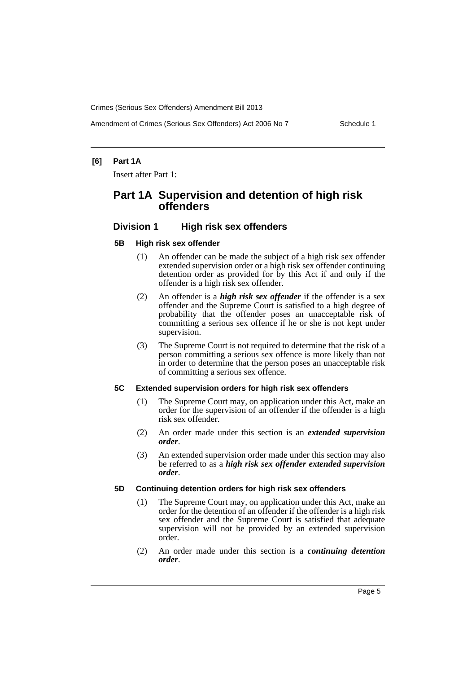# **[6] Part 1A**

Insert after Part 1:

# **Part 1A Supervision and detention of high risk offenders**

# **Division 1 High risk sex offenders**

#### **5B High risk sex offender**

- (1) An offender can be made the subject of a high risk sex offender extended supervision order or a high risk sex offender continuing detention order as provided for by this Act if and only if the offender is a high risk sex offender.
- (2) An offender is a *high risk sex offender* if the offender is a sex offender and the Supreme Court is satisfied to a high degree of probability that the offender poses an unacceptable risk of committing a serious sex offence if he or she is not kept under supervision.
- (3) The Supreme Court is not required to determine that the risk of a person committing a serious sex offence is more likely than not in order to determine that the person poses an unacceptable risk of committing a serious sex offence.

#### **5C Extended supervision orders for high risk sex offenders**

- (1) The Supreme Court may, on application under this Act, make an order for the supervision of an offender if the offender is a high risk sex offender.
- (2) An order made under this section is an *extended supervision order*.
- (3) An extended supervision order made under this section may also be referred to as a *high risk sex offender extended supervision order*.

# **5D Continuing detention orders for high risk sex offenders**

- (1) The Supreme Court may, on application under this Act, make an order for the detention of an offender if the offender is a high risk sex offender and the Supreme Court is satisfied that adequate supervision will not be provided by an extended supervision order.
- (2) An order made under this section is a *continuing detention order*.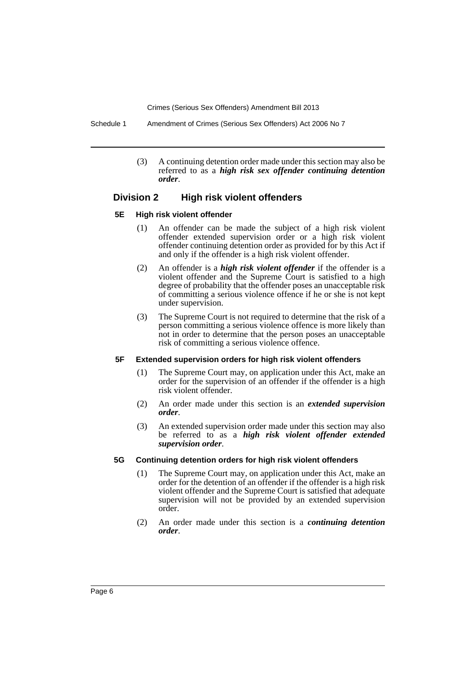Schedule 1 Amendment of Crimes (Serious Sex Offenders) Act 2006 No 7

(3) A continuing detention order made under this section may also be referred to as a *high risk sex offender continuing detention order*.

# **Division 2 High risk violent offenders**

#### **5E High risk violent offender**

- (1) An offender can be made the subject of a high risk violent offender extended supervision order or a high risk violent offender continuing detention order as provided for by this Act if and only if the offender is a high risk violent offender.
- (2) An offender is a *high risk violent offender* if the offender is a violent offender and the Supreme Court is satisfied to a high degree of probability that the offender poses an unacceptable risk of committing a serious violence offence if he or she is not kept under supervision.
- (3) The Supreme Court is not required to determine that the risk of a person committing a serious violence offence is more likely than not in order to determine that the person poses an unacceptable risk of committing a serious violence offence.

#### **5F Extended supervision orders for high risk violent offenders**

- (1) The Supreme Court may, on application under this Act, make an order for the supervision of an offender if the offender is a high risk violent offender.
- (2) An order made under this section is an *extended supervision order*.
- (3) An extended supervision order made under this section may also be referred to as a *high risk violent offender extended supervision order*.

#### **5G Continuing detention orders for high risk violent offenders**

- (1) The Supreme Court may, on application under this Act, make an order for the detention of an offender if the offender is a high risk violent offender and the Supreme Court is satisfied that adequate supervision will not be provided by an extended supervision order.
- (2) An order made under this section is a *continuing detention order*.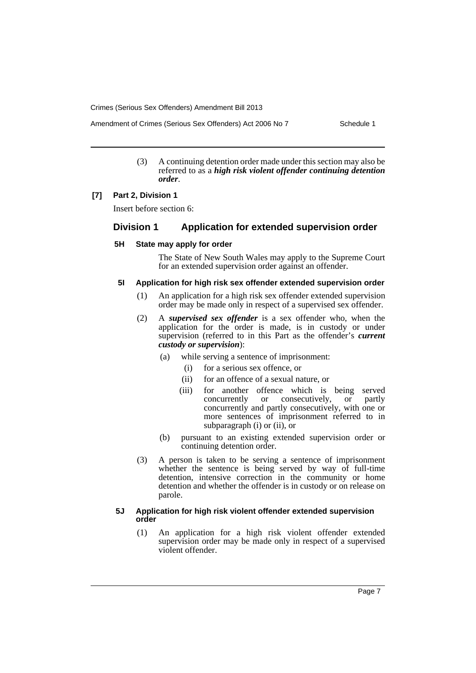(3) A continuing detention order made under this section may also be referred to as a *high risk violent offender continuing detention order*.

#### **[7] Part 2, Division 1**

Insert before section 6:

# **Division 1 Application for extended supervision order**

#### **5H State may apply for order**

The State of New South Wales may apply to the Supreme Court for an extended supervision order against an offender.

#### **5I Application for high risk sex offender extended supervision order**

- (1) An application for a high risk sex offender extended supervision order may be made only in respect of a supervised sex offender.
- (2) A *supervised sex offender* is a sex offender who, when the application for the order is made, is in custody or under supervision (referred to in this Part as the offender's *current custody or supervision*):
	- (a) while serving a sentence of imprisonment:
		- (i) for a serious sex offence, or
		- (ii) for an offence of a sexual nature, or
		- (iii) for another offence which is being served concurrently or consecutively, or partly concurrently and partly consecutively, with one or more sentences of imprisonment referred to in subparagraph (i) or (ii), or
	- (b) pursuant to an existing extended supervision order or continuing detention order.
- (3) A person is taken to be serving a sentence of imprisonment whether the sentence is being served by way of full-time detention, intensive correction in the community or home detention and whether the offender is in custody or on release on parole.

#### **5J Application for high risk violent offender extended supervision order**

(1) An application for a high risk violent offender extended supervision order may be made only in respect of a supervised violent offender.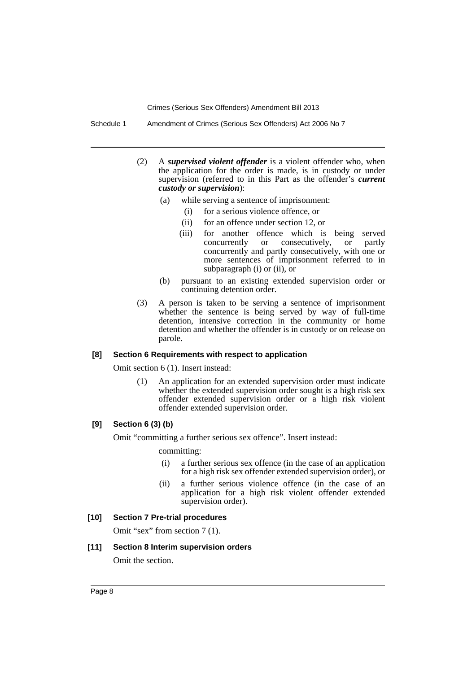Schedule 1 Amendment of Crimes (Serious Sex Offenders) Act 2006 No 7

- (2) A *supervised violent offender* is a violent offender who, when the application for the order is made, is in custody or under supervision (referred to in this Part as the offender's *current custody or supervision*):
	- (a) while serving a sentence of imprisonment:
		- (i) for a serious violence offence, or
		- (ii) for an offence under section 12, or
		- (iii) for another offence which is being served<br>concurrently or consecutively, or partly or consecutively, or partly concurrently and partly consecutively, with one or more sentences of imprisonment referred to in subparagraph (i) or (ii), or
	- (b) pursuant to an existing extended supervision order or continuing detention order.
- (3) A person is taken to be serving a sentence of imprisonment whether the sentence is being served by way of full-time detention, intensive correction in the community or home detention and whether the offender is in custody or on release on parole.

#### **[8] Section 6 Requirements with respect to application**

Omit section 6 (1). Insert instead:

(1) An application for an extended supervision order must indicate whether the extended supervision order sought is a high risk sex offender extended supervision order or a high risk violent offender extended supervision order.

# **[9] Section 6 (3) (b)**

Omit "committing a further serious sex offence". Insert instead:

committing:

- (i) a further serious sex offence (in the case of an application for a high risk sex offender extended supervision order), or
- (ii) a further serious violence offence (in the case of an application for a high risk violent offender extended supervision order).

#### **[10] Section 7 Pre-trial procedures**

Omit "sex" from section 7 (1).

#### **[11] Section 8 Interim supervision orders**

Omit the section.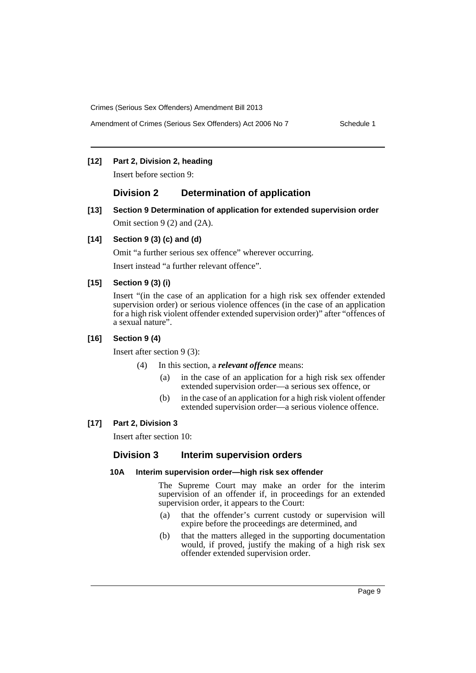# **[12] Part 2, Division 2, heading**

Insert before section 9:

# **Division 2 Determination of application**

**[13] Section 9 Determination of application for extended supervision order** Omit section 9 (2) and (2A).

# **[14] Section 9 (3) (c) and (d)**

Omit "a further serious sex offence" wherever occurring.

Insert instead "a further relevant offence".

#### **[15] Section 9 (3) (i)**

Insert "(in the case of an application for a high risk sex offender extended supervision order) or serious violence offences (in the case of an application for a high risk violent offender extended supervision order)" after "offences of a sexual nature".

# **[16] Section 9 (4)**

Insert after section 9 (3):

(4) In this section, a *relevant offence* means:

- (a) in the case of an application for a high risk sex offender extended supervision order—a serious sex offence, or
- (b) in the case of an application for a high risk violent offender extended supervision order—a serious violence offence.

#### **[17] Part 2, Division 3**

Insert after section 10:

# **Division 3 Interim supervision orders**

# **10A Interim supervision order—high risk sex offender**

The Supreme Court may make an order for the interim supervision of an offender if, in proceedings for an extended supervision order, it appears to the Court:

- (a) that the offender's current custody or supervision will expire before the proceedings are determined, and
- (b) that the matters alleged in the supporting documentation would, if proved, justify the making of a high risk sex offender extended supervision order.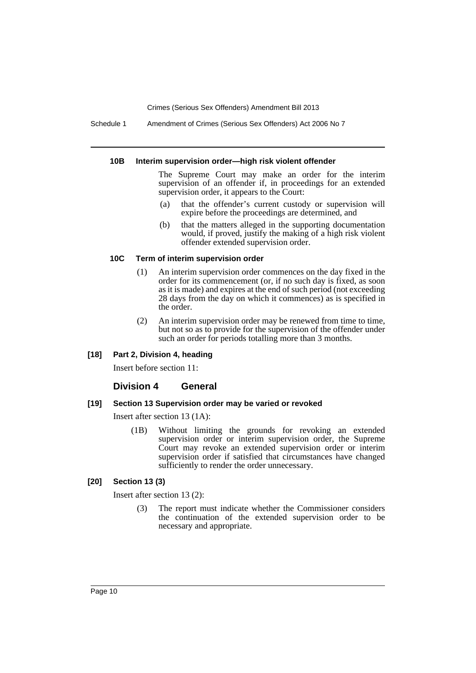Schedule 1 Amendment of Crimes (Serious Sex Offenders) Act 2006 No 7

#### **10B Interim supervision order—high risk violent offender**

The Supreme Court may make an order for the interim supervision of an offender if, in proceedings for an extended supervision order, it appears to the Court:

- (a) that the offender's current custody or supervision will expire before the proceedings are determined, and
- (b) that the matters alleged in the supporting documentation would, if proved, justify the making of a high risk violent offender extended supervision order.

## **10C Term of interim supervision order**

- (1) An interim supervision order commences on the day fixed in the order for its commencement (or, if no such day is fixed, as soon as it is made) and expires at the end of such period (not exceeding 28 days from the day on which it commences) as is specified in the order.
- (2) An interim supervision order may be renewed from time to time, but not so as to provide for the supervision of the offender under such an order for periods totalling more than 3 months.

## **[18] Part 2, Division 4, heading**

Insert before section 11:

# **Division 4 General**

#### **[19] Section 13 Supervision order may be varied or revoked**

Insert after section 13 (1A):

(1B) Without limiting the grounds for revoking an extended supervision order or interim supervision order, the Supreme Court may revoke an extended supervision order or interim supervision order if satisfied that circumstances have changed sufficiently to render the order unnecessary.

#### **[20] Section 13 (3)**

Insert after section 13 (2):

(3) The report must indicate whether the Commissioner considers the continuation of the extended supervision order to be necessary and appropriate.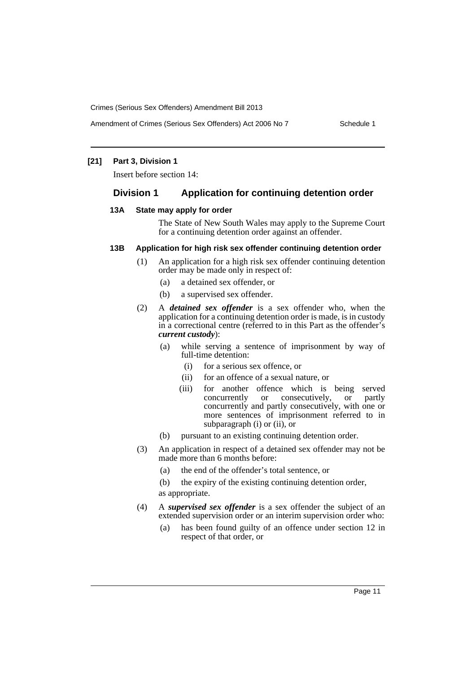# **[21] Part 3, Division 1**

Insert before section 14:

# **Division 1 Application for continuing detention order**

#### **13A State may apply for order**

The State of New South Wales may apply to the Supreme Court for a continuing detention order against an offender.

# **13B Application for high risk sex offender continuing detention order**

- (1) An application for a high risk sex offender continuing detention order may be made only in respect of:
	- (a) a detained sex offender, or
	- (b) a supervised sex offender.
- (2) A *detained sex offender* is a sex offender who, when the application for a continuing detention order is made, is in custody in a correctional centre (referred to in this Part as the offender's *current custody*):
	- (a) while serving a sentence of imprisonment by way of full-time detention:
		- (i) for a serious sex offence, or
		- (ii) for an offence of a sexual nature, or
		- (iii) for another offence which is being served<br>concurrently or consecutively, or partly consecutively, concurrently and partly consecutively, with one or more sentences of imprisonment referred to in subparagraph (i) or (ii), or
	- (b) pursuant to an existing continuing detention order.
- (3) An application in respect of a detained sex offender may not be made more than 6 months before:
	- (a) the end of the offender's total sentence, or
	- (b) the expiry of the existing continuing detention order, as appropriate.
- (4) A *supervised sex offender* is a sex offender the subject of an extended supervision order or an interim supervision order who:
	- (a) has been found guilty of an offence under section 12 in respect of that order, or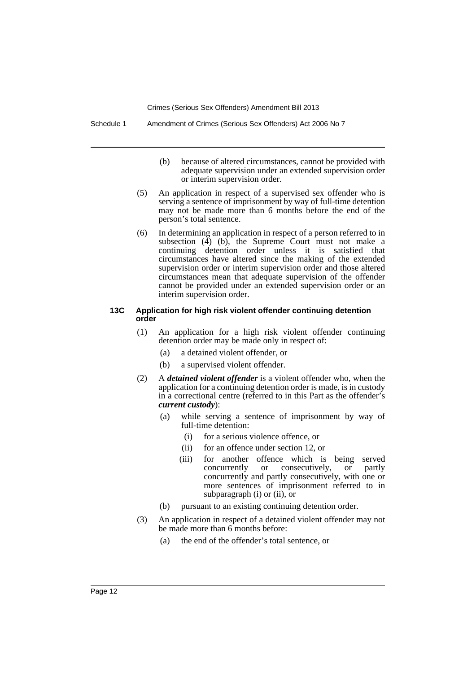- (b) because of altered circumstances, cannot be provided with adequate supervision under an extended supervision order or interim supervision order.
- (5) An application in respect of a supervised sex offender who is serving a sentence of imprisonment by way of full-time detention may not be made more than 6 months before the end of the person's total sentence.
- (6) In determining an application in respect of a person referred to in subsection  $(\tilde{4})$  (b), the Supreme Court must not make a continuing detention order unless it is satisfied that circumstances have altered since the making of the extended supervision order or interim supervision order and those altered circumstances mean that adequate supervision of the offender cannot be provided under an extended supervision order or an interim supervision order.

#### **13C Application for high risk violent offender continuing detention order**

- (1) An application for a high risk violent offender continuing detention order may be made only in respect of:
	- (a) a detained violent offender, or
	- (b) a supervised violent offender.
- (2) A *detained violent offender* is a violent offender who, when the application for a continuing detention order is made, is in custody in a correctional centre (referred to in this Part as the offender's *current custody*):
	- (a) while serving a sentence of imprisonment by way of full-time detention:
		- (i) for a serious violence offence, or
		- (ii) for an offence under section 12, or
		- (iii) for another offence which is being served<br>concurrently or consecutively, or partly consecutively, or partly concurrently and partly consecutively, with one or more sentences of imprisonment referred to in subparagraph (i) or (ii), or
	- (b) pursuant to an existing continuing detention order.
- (3) An application in respect of a detained violent offender may not be made more than 6 months before:
	- (a) the end of the offender's total sentence, or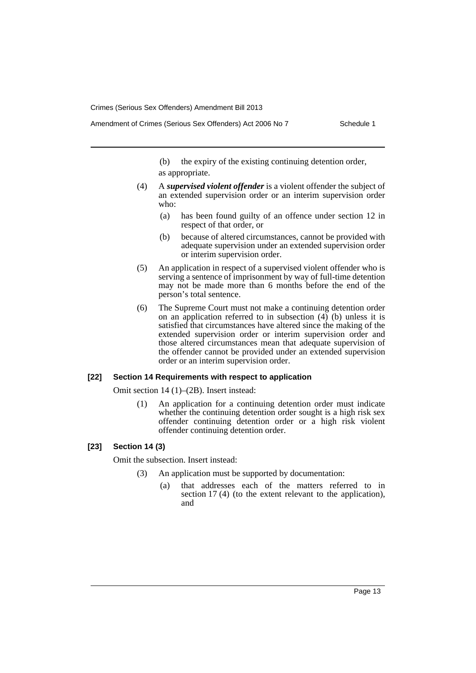(b) the expiry of the existing continuing detention order, as appropriate.

- (4) A *supervised violent offender* is a violent offender the subject of an extended supervision order or an interim supervision order who:
	- (a) has been found guilty of an offence under section 12 in respect of that order, or
	- (b) because of altered circumstances, cannot be provided with adequate supervision under an extended supervision order or interim supervision order.
- (5) An application in respect of a supervised violent offender who is serving a sentence of imprisonment by way of full-time detention may not be made more than 6 months before the end of the person's total sentence.
- (6) The Supreme Court must not make a continuing detention order on an application referred to in subsection  $(4)$  (b) unless it is satisfied that circumstances have altered since the making of the extended supervision order or interim supervision order and those altered circumstances mean that adequate supervision of the offender cannot be provided under an extended supervision order or an interim supervision order.

#### **[22] Section 14 Requirements with respect to application**

Omit section 14 (1)–(2B). Insert instead:

(1) An application for a continuing detention order must indicate whether the continuing detention order sought is a high risk sex offender continuing detention order or a high risk violent offender continuing detention order.

# **[23] Section 14 (3)**

Omit the subsection. Insert instead:

- (3) An application must be supported by documentation:
	- (a) that addresses each of the matters referred to in section 17 (4) (to the extent relevant to the application), and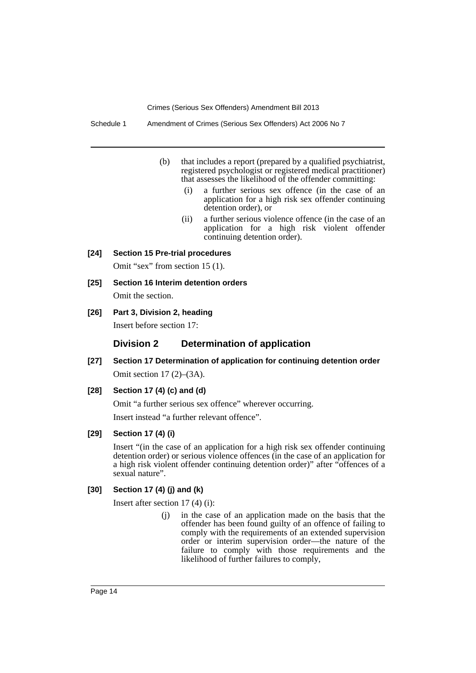- (b) that includes a report (prepared by a qualified psychiatrist, registered psychologist or registered medical practitioner) that assesses the likelihood of the offender committing:
	- (i) a further serious sex offence (in the case of an application for a high risk sex offender continuing detention order), or
	- (ii) a further serious violence offence (in the case of an application for a high risk violent offender continuing detention order).

#### **[24] Section 15 Pre-trial procedures**

Omit "sex" from section 15 (1).

**[25] Section 16 Interim detention orders**

Omit the section.

**[26] Part 3, Division 2, heading**

Insert before section 17:

# **Division 2 Determination of application**

**[27] Section 17 Determination of application for continuing detention order** Omit section 17 (2)–(3A).

# **[28] Section 17 (4) (c) and (d)**

Omit "a further serious sex offence" wherever occurring.

Insert instead "a further relevant offence".

# **[29] Section 17 (4) (i)**

Insert "(in the case of an application for a high risk sex offender continuing detention order) or serious violence offences (in the case of an application for a high risk violent offender continuing detention order)" after "offences of a sexual nature".

### **[30] Section 17 (4) (j) and (k)**

Insert after section 17 (4) (i):

(j) in the case of an application made on the basis that the offender has been found guilty of an offence of failing to comply with the requirements of an extended supervision order or interim supervision order—the nature of the failure to comply with those requirements and the likelihood of further failures to comply,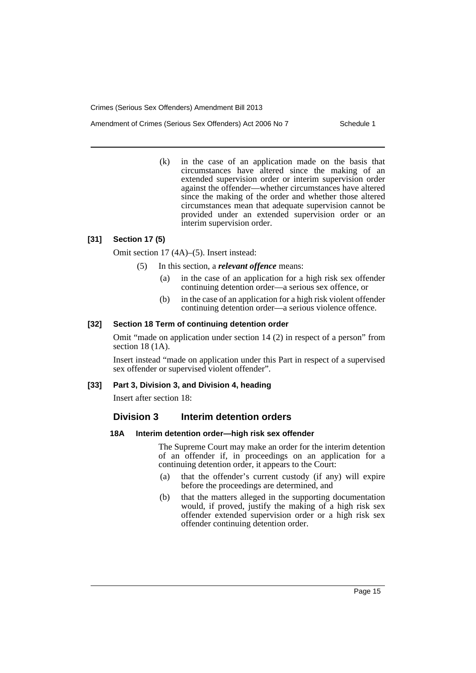Amendment of Crimes (Serious Sex Offenders) Act 2006 No 7 Schedule 1

(k) in the case of an application made on the basis that circumstances have altered since the making of an extended supervision order or interim supervision order against the offender—whether circumstances have altered since the making of the order and whether those altered circumstances mean that adequate supervision cannot be provided under an extended supervision order or an interim supervision order.

#### **[31] Section 17 (5)**

Omit section 17 (4A)–(5). Insert instead:

- (5) In this section, a *relevant offence* means:
	- (a) in the case of an application for a high risk sex offender continuing detention order—a serious sex offence, or
	- (b) in the case of an application for a high risk violent offender continuing detention order—a serious violence offence.

#### **[32] Section 18 Term of continuing detention order**

Omit "made on application under section 14 (2) in respect of a person" from section 18 (1A).

Insert instead "made on application under this Part in respect of a supervised sex offender or supervised violent offender".

## **[33] Part 3, Division 3, and Division 4, heading**

Insert after section 18:

# **Division 3 Interim detention orders**

# **18A Interim detention order—high risk sex offender**

The Supreme Court may make an order for the interim detention of an offender if, in proceedings on an application for a continuing detention order, it appears to the Court:

- (a) that the offender's current custody (if any) will expire before the proceedings are determined, and
- (b) that the matters alleged in the supporting documentation would, if proved, justify the making of a high risk sex offender extended supervision order or a high risk sex offender continuing detention order.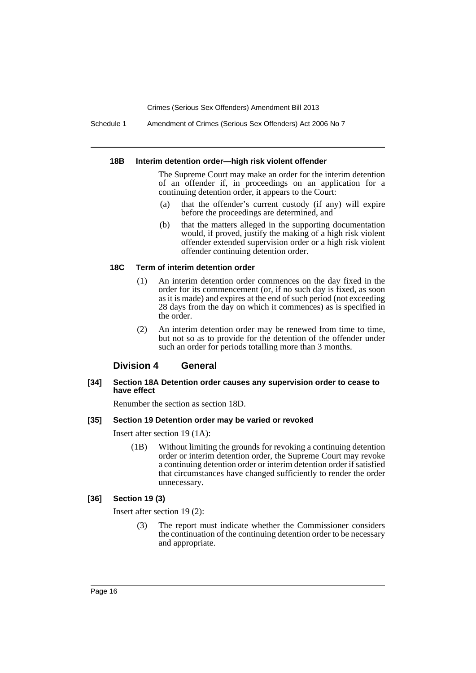Schedule 1 Amendment of Crimes (Serious Sex Offenders) Act 2006 No 7

#### **18B Interim detention order—high risk violent offender**

The Supreme Court may make an order for the interim detention of an offender if, in proceedings on an application for a continuing detention order, it appears to the Court:

- (a) that the offender's current custody (if any) will expire before the proceedings are determined, and
- (b) that the matters alleged in the supporting documentation would, if proved, justify the making of a high risk violent offender extended supervision order or a high risk violent offender continuing detention order.

# **18C Term of interim detention order**

- (1) An interim detention order commences on the day fixed in the order for its commencement (or, if no such day is fixed, as soon as it is made) and expires at the end of such period (not exceeding 28 days from the day on which it commences) as is specified in the order.
- (2) An interim detention order may be renewed from time to time, but not so as to provide for the detention of the offender under such an order for periods totalling more than 3 months.

## **Division 4 General**

#### **[34] Section 18A Detention order causes any supervision order to cease to have effect**

Renumber the section as section 18D.

#### **[35] Section 19 Detention order may be varied or revoked**

Insert after section 19 (1A):

(1B) Without limiting the grounds for revoking a continuing detention order or interim detention order, the Supreme Court may revoke a continuing detention order or interim detention order if satisfied that circumstances have changed sufficiently to render the order unnecessary.

#### **[36] Section 19 (3)**

Insert after section 19 (2):

(3) The report must indicate whether the Commissioner considers the continuation of the continuing detention order to be necessary and appropriate.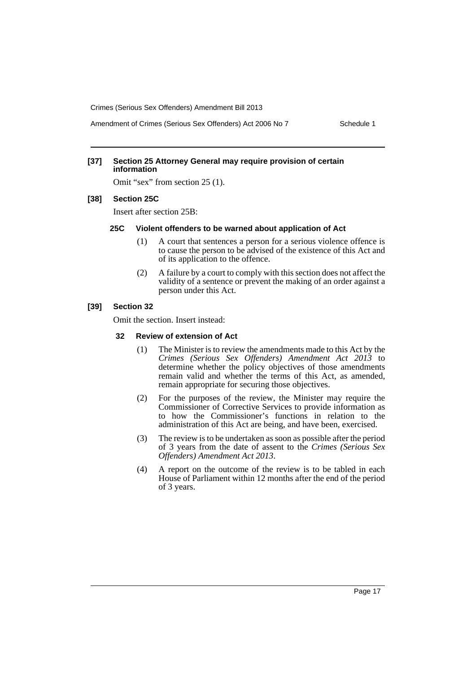Amendment of Crimes (Serious Sex Offenders) Act 2006 No 7 Schedule 1

#### **[37] Section 25 Attorney General may require provision of certain information**

Omit "sex" from section 25 (1).

#### **[38] Section 25C**

Insert after section 25B:

#### **25C Violent offenders to be warned about application of Act**

- (1) A court that sentences a person for a serious violence offence is to cause the person to be advised of the existence of this Act and of its application to the offence.
- (2) A failure by a court to comply with this section does not affect the validity of a sentence or prevent the making of an order against a person under this Act.

#### **[39] Section 32**

Omit the section. Insert instead:

#### **32 Review of extension of Act**

- (1) The Minister is to review the amendments made to this Act by the *Crimes (Serious Sex Offenders) Amendment Act 2013* to determine whether the policy objectives of those amendments remain valid and whether the terms of this Act, as amended, remain appropriate for securing those objectives.
- (2) For the purposes of the review, the Minister may require the Commissioner of Corrective Services to provide information as to how the Commissioner's functions in relation to the administration of this Act are being, and have been, exercised.
- (3) The review is to be undertaken as soon as possible after the period of 3 years from the date of assent to the *Crimes (Serious Sex Offenders) Amendment Act 2013*.
- (4) A report on the outcome of the review is to be tabled in each House of Parliament within 12 months after the end of the period of 3 years.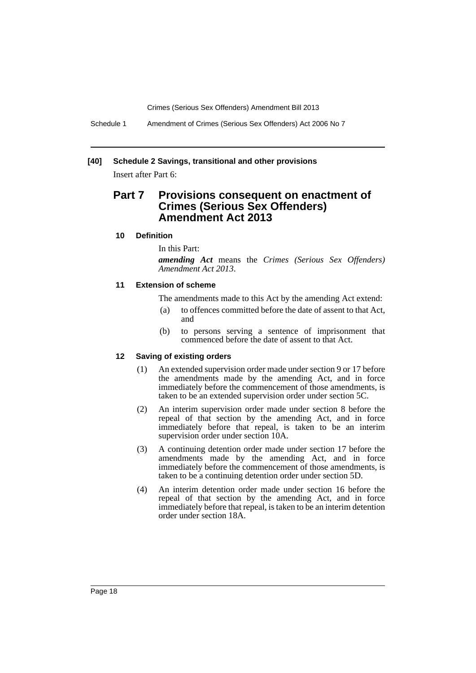Schedule 1 Amendment of Crimes (Serious Sex Offenders) Act 2006 No 7

# **[40] Schedule 2 Savings, transitional and other provisions**

Insert after Part 6:

# **Part 7 Provisions consequent on enactment of Crimes (Serious Sex Offenders) Amendment Act 2013**

#### **10 Definition**

In this Part:

*amending Act* means the *Crimes (Serious Sex Offenders) Amendment Act 2013*.

#### **11 Extension of scheme**

The amendments made to this Act by the amending Act extend:

- (a) to offences committed before the date of assent to that Act, and
- (b) to persons serving a sentence of imprisonment that commenced before the date of assent to that Act.

#### **12 Saving of existing orders**

- (1) An extended supervision order made under section 9 or 17 before the amendments made by the amending Act, and in force immediately before the commencement of those amendments, is taken to be an extended supervision order under section 5C.
- (2) An interim supervision order made under section 8 before the repeal of that section by the amending Act, and in force immediately before that repeal, is taken to be an interim supervision order under section 10A.
- (3) A continuing detention order made under section 17 before the amendments made by the amending Act, and in force immediately before the commencement of those amendments, is taken to be a continuing detention order under section 5D.
- (4) An interim detention order made under section 16 before the repeal of that section by the amending Act, and in force immediately before that repeal, is taken to be an interim detention order under section 18A.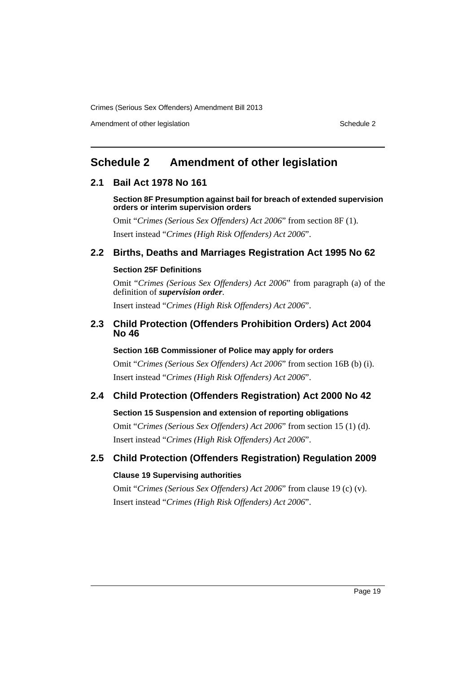Amendment of other legislation Schedule 2

# <span id="page-20-0"></span>**Schedule 2 Amendment of other legislation**

# **2.1 Bail Act 1978 No 161**

**Section 8F Presumption against bail for breach of extended supervision orders or interim supervision orders**

Omit "*Crimes (Serious Sex Offenders) Act 2006*" from section 8F (1).

Insert instead "*Crimes (High Risk Offenders) Act 2006*".

# **2.2 Births, Deaths and Marriages Registration Act 1995 No 62**

## **Section 25F Definitions**

Omit "*Crimes (Serious Sex Offenders) Act 2006*" from paragraph (a) of the definition of *supervision order*.

Insert instead "*Crimes (High Risk Offenders) Act 2006*".

# **2.3 Child Protection (Offenders Prohibition Orders) Act 2004 No 46**

# **Section 16B Commissioner of Police may apply for orders**

Omit "*Crimes (Serious Sex Offenders) Act 2006*" from section 16B (b) (i). Insert instead "*Crimes (High Risk Offenders) Act 2006*".

# **2.4 Child Protection (Offenders Registration) Act 2000 No 42**

# **Section 15 Suspension and extension of reporting obligations**

Omit "*Crimes (Serious Sex Offenders) Act 2006*" from section 15 (1) (d). Insert instead "*Crimes (High Risk Offenders) Act 2006*".

# **2.5 Child Protection (Offenders Registration) Regulation 2009**

# **Clause 19 Supervising authorities**

Omit "*Crimes (Serious Sex Offenders) Act 2006*" from clause 19 (c) (v). Insert instead "*Crimes (High Risk Offenders) Act 2006*".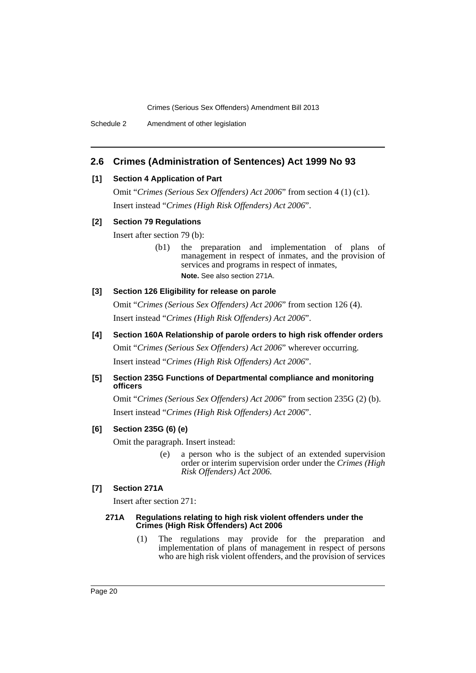# **2.6 Crimes (Administration of Sentences) Act 1999 No 93**

#### **[1] Section 4 Application of Part**

Omit "*Crimes (Serious Sex Offenders) Act 2006*" from section 4 (1) (c1). Insert instead "*Crimes (High Risk Offenders) Act 2006*".

#### **[2] Section 79 Regulations**

Insert after section 79 (b):

(b1) the preparation and implementation of plans of management in respect of inmates, and the provision of services and programs in respect of inmates, **Note.** See also section 271A.

#### **[3] Section 126 Eligibility for release on parole**

Omit "*Crimes (Serious Sex Offenders) Act 2006*" from section 126 (4). Insert instead "*Crimes (High Risk Offenders) Act 2006*".

**[4] Section 160A Relationship of parole orders to high risk offender orders**

Omit "*Crimes (Serious Sex Offenders) Act 2006*" wherever occurring. Insert instead "*Crimes (High Risk Offenders) Act 2006*".

# **[5] Section 235G Functions of Departmental compliance and monitoring officers**

Omit "*Crimes (Serious Sex Offenders) Act 2006*" from section 235G (2) (b). Insert instead "*Crimes (High Risk Offenders) Act 2006*".

# **[6] Section 235G (6) (e)**

Omit the paragraph. Insert instead:

(e) a person who is the subject of an extended supervision order or interim supervision order under the *Crimes (High Risk Offenders) Act 2006*.

# **[7] Section 271A**

Insert after section 271:

#### **271A Regulations relating to high risk violent offenders under the Crimes (High Risk Offenders) Act 2006**

(1) The regulations may provide for the preparation and implementation of plans of management in respect of persons who are high risk violent offenders, and the provision of services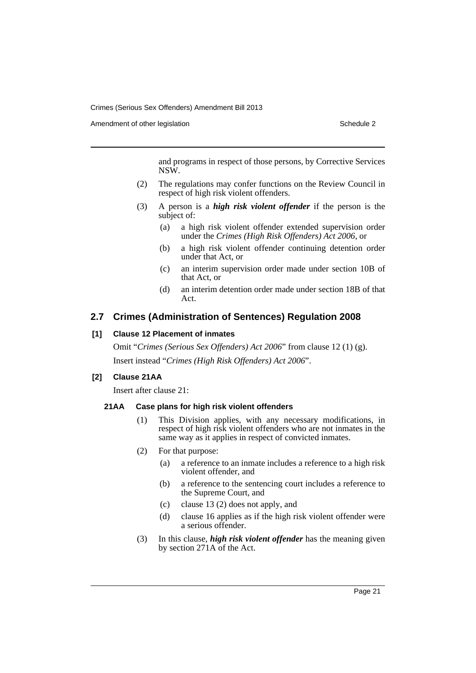Amendment of other legislation Schedule 2

and programs in respect of those persons, by Corrective Services NSW.

- (2) The regulations may confer functions on the Review Council in respect of high risk violent offenders.
- (3) A person is a *high risk violent offender* if the person is the subject of:
	- (a) a high risk violent offender extended supervision order under the *Crimes (High Risk Offenders) Act 2006*, or
	- (b) a high risk violent offender continuing detention order under that Act, or
	- (c) an interim supervision order made under section 10B of that Act, or
	- (d) an interim detention order made under section 18B of that Act.

# **2.7 Crimes (Administration of Sentences) Regulation 2008**

# **[1] Clause 12 Placement of inmates**

Omit "*Crimes (Serious Sex Offenders) Act 2006*" from clause 12 (1) (g). Insert instead "*Crimes (High Risk Offenders) Act 2006*".

# **[2] Clause 21AA**

Insert after clause 21:

# **21AA Case plans for high risk violent offenders**

- (1) This Division applies, with any necessary modifications, in respect of high risk violent offenders who are not inmates in the same way as it applies in respect of convicted inmates.
- (2) For that purpose:
	- (a) a reference to an inmate includes a reference to a high risk violent offender, and
	- (b) a reference to the sentencing court includes a reference to the Supreme Court, and
	- (c) clause 13 (2) does not apply, and
	- (d) clause 16 applies as if the high risk violent offender were a serious offender.
- (3) In this clause, *high risk violent offender* has the meaning given by section 271A of the Act.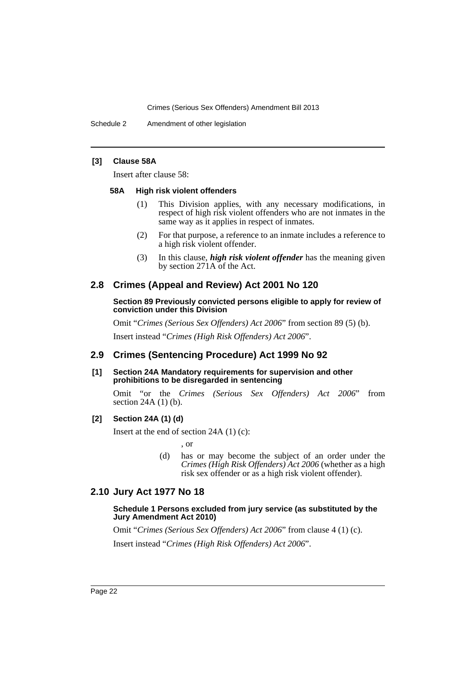Schedule 2 Amendment of other legislation

#### **[3] Clause 58A**

Insert after clause 58:

#### **58A High risk violent offenders**

- (1) This Division applies, with any necessary modifications, in respect of high risk violent offenders who are not inmates in the same way as it applies in respect of inmates.
- (2) For that purpose, a reference to an inmate includes a reference to a high risk violent offender.
- (3) In this clause, *high risk violent offender* has the meaning given by section 271A of the Act.

# **2.8 Crimes (Appeal and Review) Act 2001 No 120**

#### **Section 89 Previously convicted persons eligible to apply for review of conviction under this Division**

Omit "*Crimes (Serious Sex Offenders) Act 2006*" from section 89 (5) (b). Insert instead "*Crimes (High Risk Offenders) Act 2006*".

# **2.9 Crimes (Sentencing Procedure) Act 1999 No 92**

**[1] Section 24A Mandatory requirements for supervision and other prohibitions to be disregarded in sentencing**

Omit "or the *Crimes (Serious Sex Offenders) Act 2006*" from section 24A (1) (b).

### **[2] Section 24A (1) (d)**

Insert at the end of section 24A (1) (c):

, or

(d) has or may become the subject of an order under the *Crimes (High Risk Offenders) Act 2006* (whether as a high risk sex offender or as a high risk violent offender).

# **2.10 Jury Act 1977 No 18**

#### **Schedule 1 Persons excluded from jury service (as substituted by the Jury Amendment Act 2010)**

Omit "*Crimes (Serious Sex Offenders) Act 2006*" from clause 4 (1) (c). Insert instead "*Crimes (High Risk Offenders) Act 2006*".